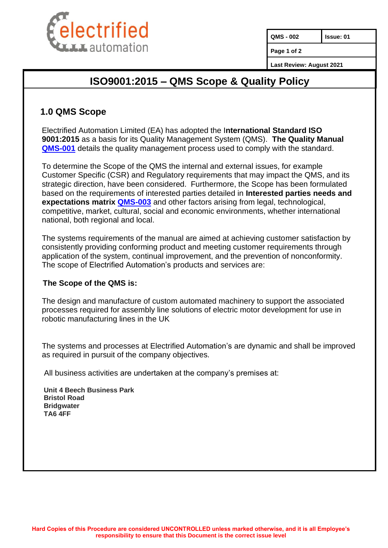

**QMS - 002 Issue: 01**

**Page 1 of 2**

**Last Review: August 2021**

## **ISO9001:2015 – QMS Scope & Quality Policy**

### **1.0 QMS Scope**

Electrified Automation Limited (EA) has adopted the I**nternational Standard ISO 9001:2015** as a basis for its Quality Management System (QMS). **The Quality Manual [QMS-001](https://teams.microsoft.com/l/file/915D46C8-17C5-41D2-A0FB-03509FD68857?tenantId=f8ce736e-7e0d-414b-90fe-aa318791dc47&fileType=docx&objectUrl=https%3A%2F%2Felectrifiedautomation.sharepoint.com%2Fsites%2FOPERATIONS%2FShared%20Documents%2FQuality%2FQMS%20(Quality%20Management%20System)%20Set-up%20Folder%20-%20DRAFTS%2F1.0%20QMS-Systems%20-%20Folder%2FQMS-001%20ISO%209001.2015%20QMS%20Manual.%20Draft.docx&baseUrl=https%3A%2F%2Felectrifiedautomation.sharepoint.com%2Fsites%2FOPERATIONS&serviceName=teams&threadId=19:50c301e54b604d87915ad5b251b77485@thread.tacv2&groupId=19f61e61-de20-45f0-b477-70a864a48872)** details the quality management process used to comply with the standard.

To determine the Scope of the QMS the internal and external issues, for example Customer Specific (CSR) and Regulatory requirements that may impact the QMS, and its strategic direction, have been considered. Furthermore, the Scope has been formulated based on the requirements of interested parties detailed in **Interested parties needs and expectations matrix [QMS-003](https://teams.microsoft.com/l/file/00A7E10A-F8AF-47E0-8717-68DAC2831773?tenantId=f8ce736e-7e0d-414b-90fe-aa318791dc47&fileType=xlsx&objectUrl=https%3A%2F%2Felectrifiedautomation.sharepoint.com%2Fsites%2FOPERATIONS%2FShared%20Documents%2FQuality%2FQMS%20(Quality%20Management%20System)%20Set-up%20Folder%20-%20DRAFTS%2F1.0%20QMS-Systems%20-%20Folder%2FQMS-003%20ISO9001.2015%20Interested%20Parties%20Needs%20%26%20Expectations%20Matrix_Draft.xlsx&baseUrl=https%3A%2F%2Felectrifiedautomation.sharepoint.com%2Fsites%2FOPERATIONS&serviceName=teams&threadId=19:50c301e54b604d87915ad5b251b77485@thread.tacv2&groupId=19f61e61-de20-45f0-b477-70a864a48872)** and other factors arising from legal, technological, competitive, market, cultural, social and economic environments, whether international national, both regional and local.

The systems requirements of the manual are aimed at achieving customer satisfaction by consistently providing conforming product and meeting customer requirements through application of the system, continual improvement, and the prevention of nonconformity. The scope of Electrified Automation's products and services are:

#### **The Scope of the QMS is:**

The design and manufacture of custom automated machinery to support the associated processes required for assembly line solutions of electric motor development for use in robotic manufacturing lines in the UK

The systems and processes at Electrified Automation's are dynamic and shall be improved as required in pursuit of the company objectives.

All business activities are undertaken at the company's premises at:

**Unit 4 Beech Business Park Bristol Road Bridgwater TA6 4FF**